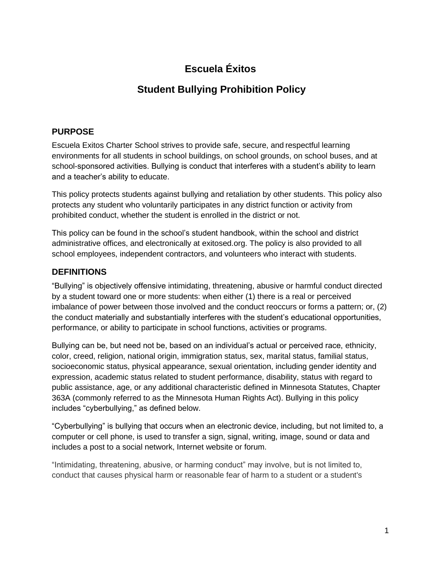# **Escuela Éxitos**

## **Student Bullying Prohibition Policy**

#### **PURPOSE**

Escuela Exitos Charter School strives to provide safe, secure, and respectful learning environments for all students in school buildings, on school grounds, on school buses, and at school-sponsored activities. Bullying is conduct that interferes with a student's ability to learn and a teacher's ability to educate.

This policy protects students against bullying and retaliation by other students. This policy also protects any student who voluntarily participates in any district function or activity from prohibited conduct, whether the student is enrolled in the district or not.

This policy can be found in the school's student handbook, within the school and district administrative offices, and electronically at exitosed.org. The policy is also provided to all school employees, independent contractors, and volunteers who interact with students.

## **DEFINITIONS**

"Bullying" is objectively offensive intimidating, threatening, abusive or harmful conduct directed by a student toward one or more students: when either (1) there is a real or perceived imbalance of power between those involved and the conduct reoccurs or forms a pattern; or, (2) the conduct materially and substantially interferes with the student's educational opportunities, performance, or ability to participate in school functions, activities or programs.

Bullying can be, but need not be, based on an individual's actual or perceived race, ethnicity, color, creed, religion, national origin, immigration status, sex, marital status, familial status, socioeconomic status, physical appearance, sexual orientation, including gender identity and expression, academic status related to student performance, disability, status with regard to public assistance, age, or any additional characteristic defined in Minnesota Statutes, Chapter 363A (commonly referred to as the Minnesota Human Rights Act). Bullying in this policy includes "cyberbullying," as defined below.

"Cyberbullying" is bullying that occurs when an electronic device, including, but not limited to, a computer or cell phone, is used to transfer a sign, signal, writing, image, sound or data and includes a post to a social network, Internet website or forum.

"Intimidating, threatening, abusive, or harming conduct" may involve, but is not limited to, conduct that causes physical harm or reasonable fear of harm to a student or a student's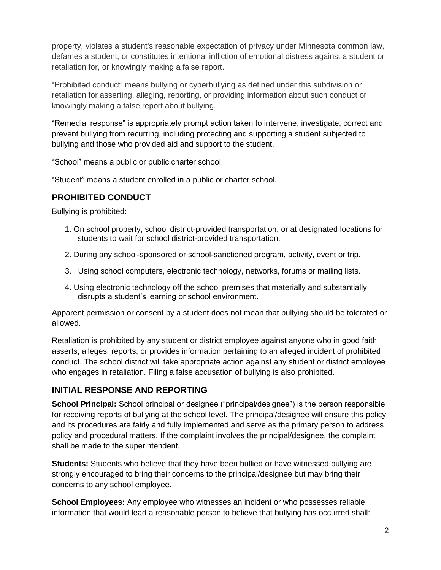property, violates a student's reasonable expectation of privacy under Minnesota common law, defames a student, or constitutes intentional infliction of emotional distress against a student or retaliation for, or knowingly making a false report.

"Prohibited conduct" means bullying or cyberbullying as defined under this subdivision or retaliation for asserting, alleging, reporting, or providing information about such conduct or knowingly making a false report about bullying.

"Remedial response" is appropriately prompt action taken to intervene, investigate, correct and prevent bullying from recurring, including protecting and supporting a student subjected to bullying and those who provided aid and support to the student.

"School" means a public or public charter school.

"Student" means a student enrolled in a public or charter school.

## **PROHIBITED CONDUCT**

Bullying is prohibited:

- 1. On school property, school district-provided transportation, or at designated locations for students to wait for school district-provided transportation.
- 2. During any school-sponsored or school-sanctioned program, activity, event or trip.
- 3. Using school computers, electronic technology, networks, forums or mailing lists.
- 4. Using electronic technology off the school premises that materially and substantially disrupts a student's learning or school environment.

Apparent permission or consent by a student does not mean that bullying should be tolerated or allowed.

Retaliation is prohibited by any student or district employee against anyone who in good faith asserts, alleges, reports, or provides information pertaining to an alleged incident of prohibited conduct. The school district will take appropriate action against any student or district employee who engages in retaliation. Filing a false accusation of bullying is also prohibited.

## **INITIAL RESPONSE AND REPORTING**

**School Principal:** School principal or designee ("principal/designee") is the person responsible for receiving reports of bullying at the school level. The principal/designee will ensure this policy and its procedures are fairly and fully implemented and serve as the primary person to address policy and procedural matters. If the complaint involves the principal/designee, the complaint shall be made to the superintendent.

**Students:** Students who believe that they have been bullied or have witnessed bullying are strongly encouraged to bring their concerns to the principal/designee but may bring their concerns to any school employee.

**School Employees:** Any employee who witnesses an incident or who possesses reliable information that would lead a reasonable person to believe that bullying has occurred shall: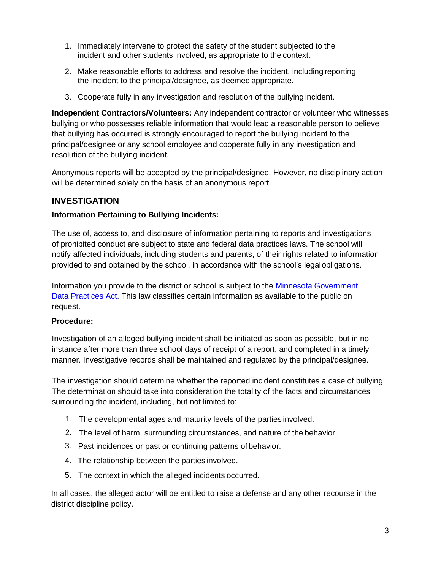- 1. Immediately intervene to protect the safety of the student subjected to the incident and other students involved, as appropriate to the context.
- 2. Make reasonable efforts to address and resolve the incident, including reporting the incident to the principal/designee, as deemed appropriate.
- 3. Cooperate fully in any investigation and resolution of the bullying incident.

**Independent Contractors/Volunteers:** Any independent contractor or volunteer who witnesses bullying or who possesses reliable information that would lead a reasonable person to believe that bullying has occurred is strongly encouraged to report the bullying incident to the principal/designee or any school employee and cooperate fully in any investigation and resolution of the bullying incident.

Anonymous reports will be accepted by the principal/designee. However, no disciplinary action will be determined solely on the basis of an anonymous report.

#### **INVESTIGATION**

#### **Information Pertaining to Bullying Incidents:**

The use of, access to, and disclosure of information pertaining to reports and investigations of prohibited conduct are subject to state and federal data practices laws. The school will notify affected individuals, including students and parents, of their rights related to information provided to and obtained by the school, in accordance with the school's legalobligations.

Information you provide to the district or school is subject to the [Minnesota Government](https://www.revisor.mn.gov/statutes/?id=13) [Data Practices](https://www.revisor.mn.gov/statutes/?id=13) Act. This law classifies certain information as available to the public on request.

#### **Procedure:**

Investigation of an alleged bullying incident shall be initiated as soon as possible, but in no instance after more than three school days of receipt of a report, and completed in a timely manner. Investigative records shall be maintained and regulated by the principal/designee.

The investigation should determine whether the reported incident constitutes a case of bullying. The determination should take into consideration the totality of the facts and circumstances surrounding the incident, including, but not limited to:

- 1. The developmental ages and maturity levels of the parties involved.
- 2. The level of harm, surrounding circumstances, and nature of the behavior.
- 3. Past incidences or past or continuing patterns of behavior.
- 4. The relationship between the parties involved.
- 5. The context in which the alleged incidents occurred.

In all cases, the alleged actor will be entitled to raise a defense and any other recourse in the district discipline policy.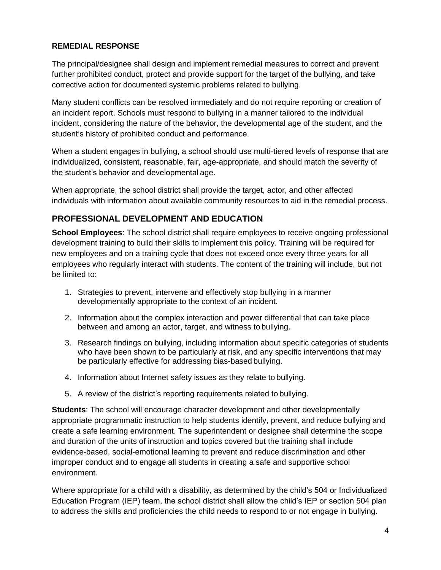#### **REMEDIAL RESPONSE**

The principal/designee shall design and implement remedial measures to correct and prevent further prohibited conduct, protect and provide support for the target of the bullying, and take corrective action for documented systemic problems related to bullying.

Many student conflicts can be resolved immediately and do not require reporting or creation of an incident report. Schools must respond to bullying in a manner tailored to the individual incident, considering the nature of the behavior, the developmental age of the student, and the student's history of prohibited conduct and performance.

When a student engages in bullying, a school should use multi-tiered levels of response that are individualized, consistent, reasonable, fair, age-appropriate, and should match the severity of the student's behavior and developmental age.

When appropriate, the school district shall provide the target, actor, and other affected individuals with information about available community resources to aid in the remedial process.

## **PROFESSIONAL DEVELOPMENT AND EDUCATION**

**School Employees**: The school district shall require employees to receive ongoing professional development training to build their skills to implement this policy. Training will be required for new employees and on a training cycle that does not exceed once every three years for all employees who regularly interact with students. The content of the training will include, but not be limited to:

- 1. Strategies to prevent, intervene and effectively stop bullying in a manner developmentally appropriate to the context of an incident.
- 2. Information about the complex interaction and power differential that can take place between and among an actor, target, and witness to bullying.
- 3. Research findings on bullying, including information about specific categories of students who have been shown to be particularly at risk, and any specific interventions that may be particularly effective for addressing bias-based bullying.
- 4. Information about Internet safety issues as they relate to bullying.
- 5. A review of the district's reporting requirements related to bullying.

**Students**: The school will encourage character development and other developmentally appropriate programmatic instruction to help students identify, prevent, and reduce bullying and create a safe learning environment. The superintendent or designee shall determine the scope and duration of the units of instruction and topics covered but the training shall include evidence-based, social-emotional learning to prevent and reduce discrimination and other improper conduct and to engage all students in creating a safe and supportive school environment.

Where appropriate for a child with a disability, as determined by the child's 504 or Individualized Education Program (IEP) team, the school district shall allow the child's IEP or section 504 plan to address the skills and proficiencies the child needs to respond to or not engage in bullying.